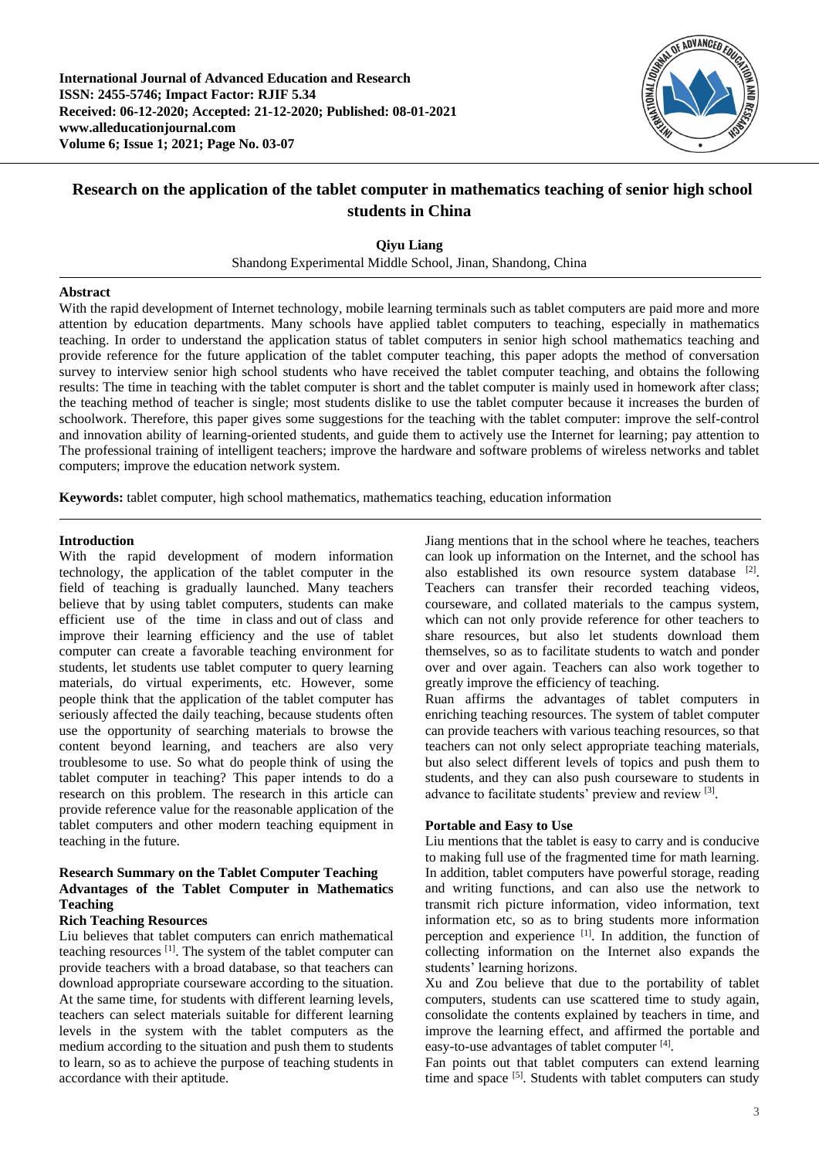**International Journal of Advanced Education and Research ISSN: 2455-5746; Impact Factor: RJIF 5.34 Received: 06-12-2020; Accepted: 21-12-2020; Published: 08-01-2021 www.alleducationjournal.com Volume 6; Issue 1; 2021; Page No. 03-07**



# **Research on the application of the tablet computer in mathematics teaching of senior high school students in China**

**Qiyu Liang**

Shandong Experimental Middle School, Jinan, Shandong, China

#### **Abstract**

With the rapid development of Internet technology, mobile learning terminals such as tablet computers are paid more and more attention by education departments. Many schools have applied tablet computers to teaching, especially in mathematics teaching. In order to understand the application status of tablet computers in senior high school mathematics teaching and provide reference for the future application of the tablet computer teaching, this paper adopts the method of conversation survey to interview senior high school students who have received the tablet computer teaching, and obtains the following results: The time in teaching with the tablet computer is short and the tablet computer is mainly used in homework after class; the teaching method of teacher is single; most students dislike to use the tablet computer because it increases the burden of schoolwork. Therefore, this paper gives some suggestions for the teaching with the tablet computer: improve the self-control and innovation ability of learning-oriented students, and guide them to actively use the Internet for learning; pay attention to The professional training of intelligent teachers; improve the hardware and software problems of wireless networks and tablet computers; improve the education network system.

**Keywords:** tablet computer, high school mathematics, mathematics teaching, education information

#### **Introduction**

With the rapid development of modern information technology, the application of the tablet computer in the field of teaching is gradually launched. Many teachers believe that by using tablet computers, students can make efficient use of the time in class and out of class and improve their learning efficiency and the use of tablet computer can create a favorable teaching environment for students, let students use tablet computer to query learning materials, do virtual experiments, etc. However, some people think that the application of the tablet computer has seriously affected the daily teaching, because students often use the opportunity of searching materials to browse the content beyond learning, and teachers are also very troublesome to use. So what do people think of using the tablet computer in teaching? This paper intends to do a research on this problem. The research in this article can provide reference value for the reasonable application of the tablet computers and other modern teaching equipment in teaching in the future.

## **Research Summary on the Tablet Computer Teaching Advantages of the Tablet Computer in Mathematics Teaching**

# **Rich Teaching Resources**

Liu believes that tablet computers can enrich mathematical teaching resources [1]. The system of the tablet computer can provide teachers with a broad database, so that teachers can download appropriate courseware according to the situation. At the same time, for students with different learning levels, teachers can select materials suitable for different learning levels in the system with the tablet computers as the medium according to the situation and push them to students to learn, so as to achieve the purpose of teaching students in accordance with their aptitude.

Jiang mentions that in the school where he teaches, teachers can look up information on the Internet, and the school has also established its own resource system database [2]. Teachers can transfer their recorded teaching videos, courseware, and collated materials to the campus system, which can not only provide reference for other teachers to share resources, but also let students download them themselves, so as to facilitate students to watch and ponder over and over again. Teachers can also work together to greatly improve the efficiency of teaching.

Ruan affirms the advantages of tablet computers in enriching teaching resources. The system of tablet computer can provide teachers with various teaching resources, so that teachers can not only select appropriate teaching materials, but also select different levels of topics and push them to students, and they can also push courseware to students in advance to facilitate students' preview and review [3].

### **Portable and Easy to Use**

Liu mentions that the tablet is easy to carry and is conducive to making full use of the fragmented time for math learning. In addition, tablet computers have powerful storage, reading and writing functions, and can also use the network to transmit rich picture information, video information, text information etc, so as to bring students more information perception and experience [1]. In addition, the function of collecting information on the Internet also expands the students' learning horizons.

Xu and Zou believe that due to the portability of tablet computers, students can use scattered time to study again, consolidate the contents explained by teachers in time, and improve the learning effect, and affirmed the portable and easy-to-use advantages of tablet computer [4].

Fan points out that tablet computers can extend learning time and space [5]. Students with tablet computers can study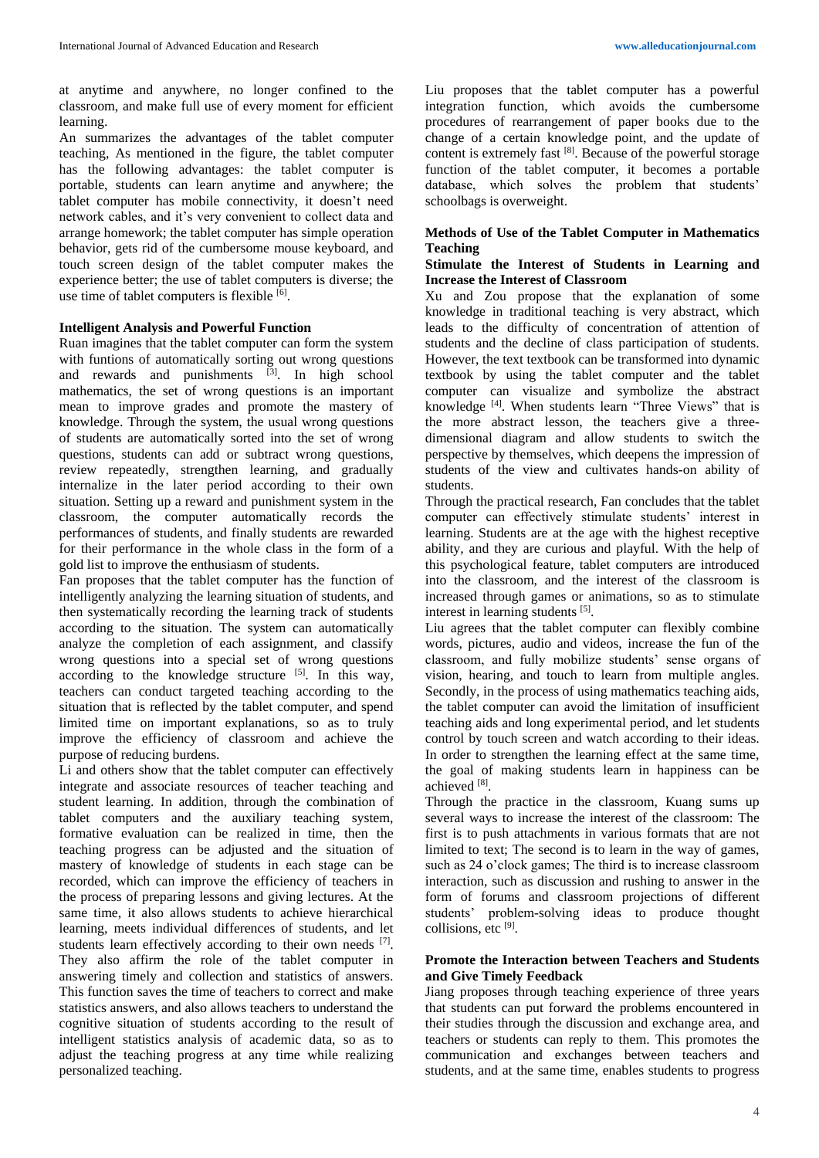learning. An summarizes the advantages of the tablet computer teaching, As mentioned in the figure, the tablet computer has the following advantages: the tablet computer is portable, students can learn anytime and anywhere; the tablet computer has mobile connectivity, it doesn't need network cables, and it's very convenient to collect data and arrange homework; the tablet computer has simple operation behavior, gets rid of the cumbersome mouse keyboard, and touch screen design of the tablet computer makes the experience better; the use of tablet computers is diverse; the use time of tablet computers is flexible [6].

#### **Intelligent Analysis and Powerful Function**

Ruan imagines that the tablet computer can form the system with funtions of automatically sorting out wrong questions and rewards and punishments [3]. In high school mathematics, the set of wrong questions is an important mean to improve grades and promote the mastery of knowledge. Through the system, the usual wrong questions of students are automatically sorted into the set of wrong questions, students can add or subtract wrong questions, review repeatedly, strengthen learning, and gradually internalize in the later period according to their own situation. Setting up a reward and punishment system in the classroom, the computer automatically records the performances of students, and finally students are rewarded for their performance in the whole class in the form of a gold list to improve the enthusiasm of students.

Fan proposes that the tablet computer has the function of intelligently analyzing the learning situation of students, and then systematically recording the learning track of students according to the situation. The system can automatically analyze the completion of each assignment, and classify wrong questions into a special set of wrong questions according to the knowledge structure  $[5]$ . In this way, teachers can conduct targeted teaching according to the situation that is reflected by the tablet computer, and spend limited time on important explanations, so as to truly improve the efficiency of classroom and achieve the purpose of reducing burdens.

Li and others show that the tablet computer can effectively integrate and associate resources of teacher teaching and student learning. In addition, through the combination of tablet computers and the auxiliary teaching system, formative evaluation can be realized in time, then the teaching progress can be adjusted and the situation of mastery of knowledge of students in each stage can be recorded, which can improve the efficiency of teachers in the process of preparing lessons and giving lectures. At the same time, it also allows students to achieve hierarchical learning, meets individual differences of students, and let students learn effectively according to their own needs [7]. They also affirm the role of the tablet computer in answering timely and collection and statistics of answers. This function saves the time of teachers to correct and make statistics answers, and also allows teachers to understand the cognitive situation of students according to the result of intelligent statistics analysis of academic data, so as to adjust the teaching progress at any time while realizing personalized teaching.

Liu proposes that the tablet computer has a powerful integration function, which avoids the cumbersome procedures of rearrangement of paper books due to the change of a certain knowledge point, and the update of content is extremely fast [8]. Because of the powerful storage function of the tablet computer, it becomes a portable database, which solves the problem that students' schoolbags is overweight.

#### **Methods of Use of the Tablet Computer in Mathematics Teaching**

#### **Stimulate the Interest of Students in Learning and Increase the Interest of Classroom**

Xu and Zou propose that the explanation of some knowledge in traditional teaching is very abstract, which leads to the difficulty of concentration of attention of students and the decline of class participation of students. However, the text textbook can be transformed into dynamic textbook by using the tablet computer and the tablet computer can visualize and symbolize the abstract knowledge [4]. When students learn "Three Views" that is the more abstract lesson, the teachers give a threedimensional diagram and allow students to switch the perspective by themselves, which deepens the impression of students of the view and cultivates hands-on ability of students.

Through the practical research, Fan concludes that the tablet computer can effectively stimulate students' interest in learning. Students are at the age with the highest receptive ability, and they are curious and playful. With the help of this psychological feature, tablet computers are introduced into the classroom, and the interest of the classroom is increased through games or animations, so as to stimulate interest in learning students [5].

Liu agrees that the tablet computer can flexibly combine words, pictures, audio and videos, increase the fun of the classroom, and fully mobilize students' sense organs of vision, hearing, and touch to learn from multiple angles. Secondly, in the process of using mathematics teaching aids, the tablet computer can avoid the limitation of insufficient teaching aids and long experimental period, and let students control by touch screen and watch according to their ideas. In order to strengthen the learning effect at the same time, the goal of making students learn in happiness can be achieved [8].

Through the practice in the classroom, Kuang sums up several ways to increase the interest of the classroom: The first is to push attachments in various formats that are not limited to text; The second is to learn in the way of games, such as 24 o'clock games; The third is to increase classroom interaction, such as discussion and rushing to answer in the form of forums and classroom projections of different students' problem-solving ideas to produce thought collisions, etc<sup>[9]</sup>.

#### **Promote the Interaction between Teachers and Students and Give Timely Feedback**

Jiang proposes through teaching experience of three years that students can put forward the problems encountered in their studies through the discussion and exchange area, and teachers or students can reply to them. This promotes the communication and exchanges between teachers and students, and at the same time, enables students to progress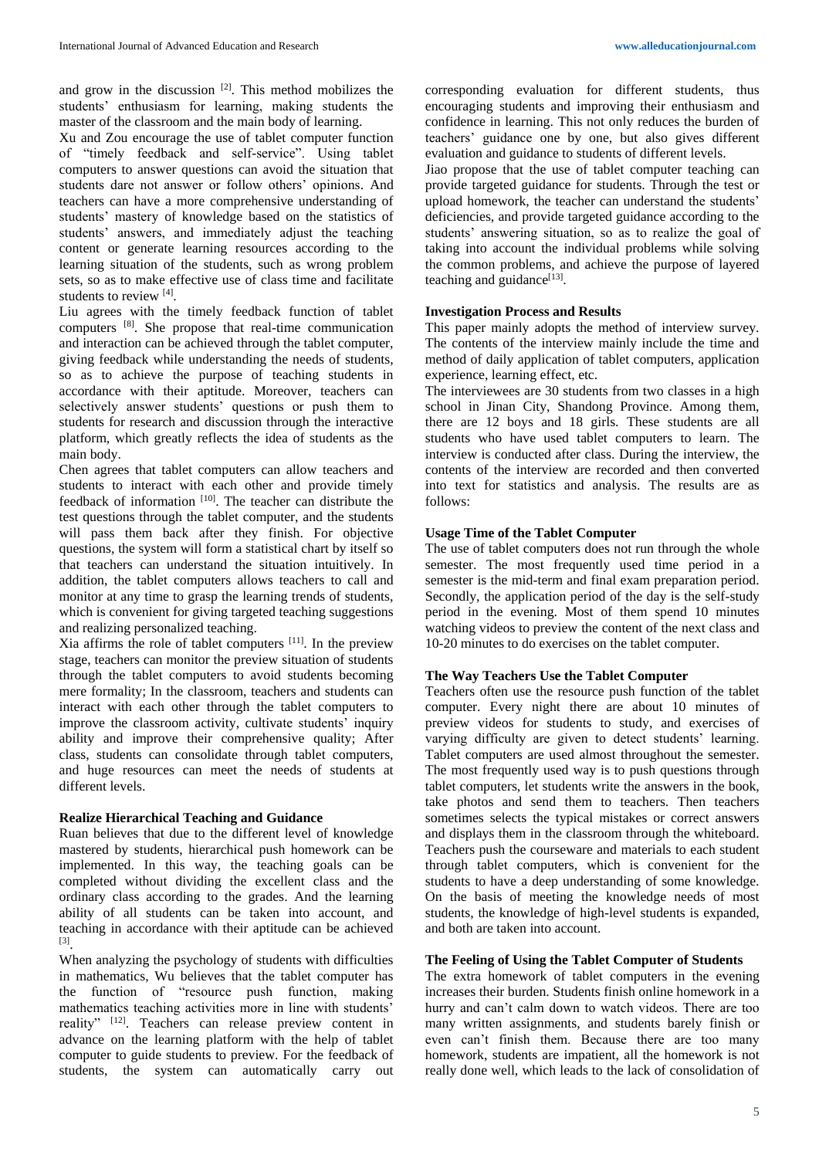and grow in the discussion  $[2]$ . This method mobilizes the students' enthusiasm for learning, making students the master of the classroom and the main body of learning.

Xu and Zou encourage the use of tablet computer function of "timely feedback and self-service". Using tablet computers to answer questions can avoid the situation that students dare not answer or follow others' opinions. And teachers can have a more comprehensive understanding of students' mastery of knowledge based on the statistics of students' answers, and immediately adjust the teaching content or generate learning resources according to the learning situation of the students, such as wrong problem sets, so as to make effective use of class time and facilitate students to review [4].

Liu agrees with the timely feedback function of tablet computers [8]. She propose that real-time communication and interaction can be achieved through the tablet computer, giving feedback while understanding the needs of students, so as to achieve the purpose of teaching students in accordance with their aptitude. Moreover, teachers can selectively answer students' questions or push them to students for research and discussion through the interactive platform, which greatly reflects the idea of students as the main body.

Chen agrees that tablet computers can allow teachers and students to interact with each other and provide timely feedback of information [10]. The teacher can distribute the test questions through the tablet computer, and the students will pass them back after they finish. For objective questions, the system will form a statistical chart by itself so that teachers can understand the situation intuitively. In addition, the tablet computers allows teachers to call and monitor at any time to grasp the learning trends of students, which is convenient for giving targeted teaching suggestions and realizing personalized teaching.

Xia affirms the role of tablet computers [11]. In the preview stage, teachers can monitor the preview situation of students through the tablet computers to avoid students becoming mere formality; In the classroom, teachers and students can interact with each other through the tablet computers to improve the classroom activity, cultivate students' inquiry ability and improve their comprehensive quality; After class, students can consolidate through tablet computers, and huge resources can meet the needs of students at different levels.

#### **Realize Hierarchical Teaching and Guidance**

Ruan believes that due to the different level of knowledge mastered by students, hierarchical push homework can be implemented. In this way, the teaching goals can be completed without dividing the excellent class and the ordinary class according to the grades. And the learning ability of all students can be taken into account, and teaching in accordance with their aptitude can be achieved [3] .

When analyzing the psychology of students with difficulties in mathematics, Wu believes that the tablet computer has the function of "resource push function, making mathematics teaching activities more in line with students' reality" [12]. Teachers can release preview content in advance on the learning platform with the help of tablet computer to guide students to preview. For the feedback of students, the system can automatically carry out corresponding evaluation for different students, thus encouraging students and improving their enthusiasm and confidence in learning. This not only reduces the burden of teachers' guidance one by one, but also gives different evaluation and guidance to students of different levels.

Jiao propose that the use of tablet computer teaching can provide targeted guidance for students. Through the test or upload homework, the teacher can understand the students' deficiencies, and provide targeted guidance according to the students' answering situation, so as to realize the goal of taking into account the individual problems while solving the common problems, and achieve the purpose of layered teaching and guidance<sup>[13]</sup>.

#### **Investigation Process and Results**

This paper mainly adopts the method of interview survey. The contents of the interview mainly include the time and method of daily application of tablet computers, application experience, learning effect, etc.

The interviewees are 30 students from two classes in a high school in Jinan City, Shandong Province. Among them, there are 12 boys and 18 girls. These students are all students who have used tablet computers to learn. The interview is conducted after class. During the interview, the contents of the interview are recorded and then converted into text for statistics and analysis. The results are as follows:

#### **Usage Time of the Tablet Computer**

The use of tablet computers does not run through the whole semester. The most frequently used time period in a semester is the mid-term and final exam preparation period. Secondly, the application period of the day is the self-study period in the evening. Most of them spend 10 minutes watching videos to preview the content of the next class and 10-20 minutes to do exercises on the tablet computer.

#### **The Way Teachers Use the Tablet Computer**

Teachers often use the resource push function of the tablet computer. Every night there are about 10 minutes of preview videos for students to study, and exercises of varying difficulty are given to detect students' learning. Tablet computers are used almost throughout the semester. The most frequently used way is to push questions through tablet computers, let students write the answers in the book, take photos and send them to teachers. Then teachers sometimes selects the typical mistakes or correct answers and displays them in the classroom through the whiteboard. Teachers push the courseware and materials to each student through tablet computers, which is convenient for the students to have a deep understanding of some knowledge. On the basis of meeting the knowledge needs of most students, the knowledge of high-level students is expanded, and both are taken into account.

#### **The Feeling of Using the Tablet Computer of Students**

The extra homework of tablet computers in the evening increases their burden. Students finish online homework in a hurry and can't calm down to watch videos. There are too many written assignments, and students barely finish or even can't finish them. Because there are too many homework, students are impatient, all the homework is not really done well, which leads to the lack of consolidation of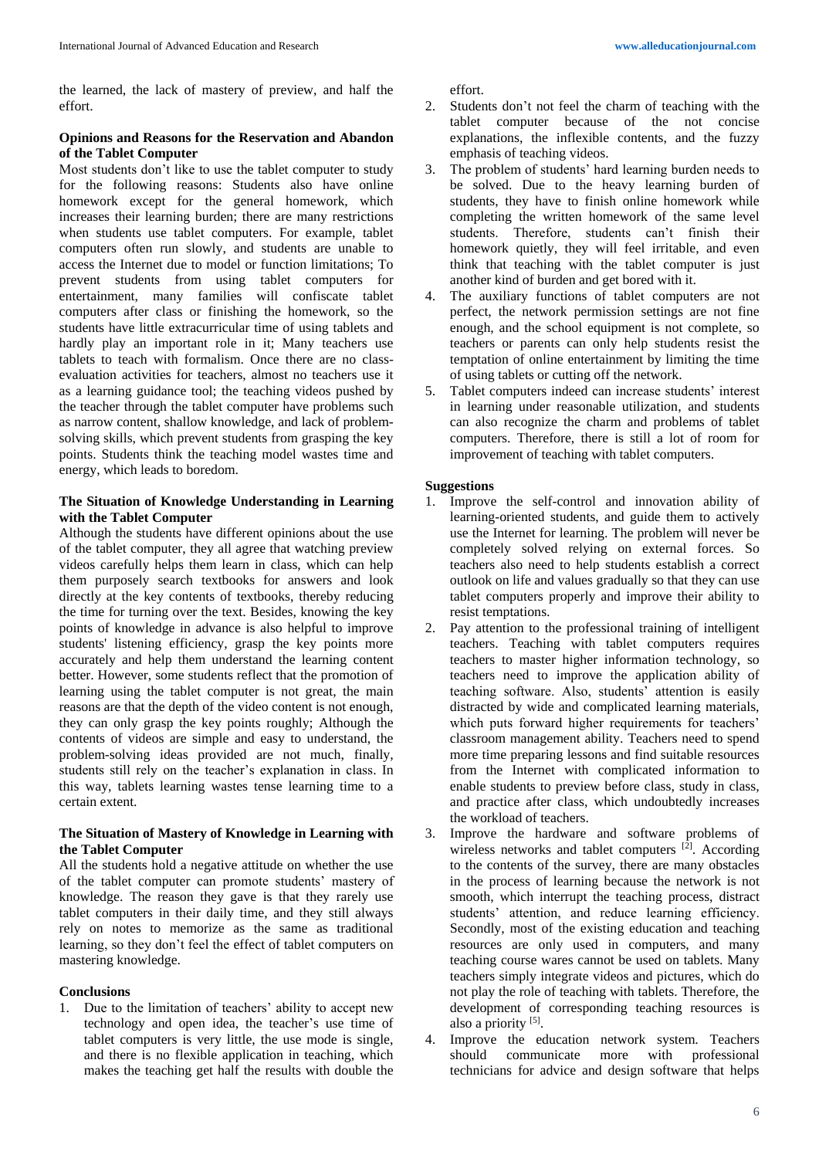the learned, the lack of mastery of preview, and half the effort.

#### **Opinions and Reasons for the Reservation and Abandon of the Tablet Computer**

Most students don't like to use the tablet computer to study for the following reasons: Students also have online homework except for the general homework, which increases their learning burden; there are many restrictions when students use tablet computers. For example, tablet computers often run slowly, and students are unable to access the Internet due to model or function limitations; To prevent students from using tablet computers for entertainment, many families will confiscate tablet computers after class or finishing the homework, so the students have little extracurricular time of using tablets and hardly play an important role in it; Many teachers use tablets to teach with formalism. Once there are no classevaluation activities for teachers, almost no teachers use it as a learning guidance tool; the teaching videos pushed by the teacher through the tablet computer have problems such as narrow content, shallow knowledge, and lack of problemsolving skills, which prevent students from grasping the key points. Students think the teaching model wastes time and energy, which leads to boredom.

#### **The Situation of Knowledge Understanding in Learning with the Tablet Computer**

Although the students have different opinions about the use of the tablet computer, they all agree that watching preview videos carefully helps them learn in class, which can help them purposely search textbooks for answers and look directly at the key contents of textbooks, thereby reducing the time for turning over the text. Besides, knowing the key points of knowledge in advance is also helpful to improve students' listening efficiency, grasp the key points more accurately and help them understand the learning content better. However, some students reflect that the promotion of learning using the tablet computer is not great, the main reasons are that the depth of the video content is not enough, they can only grasp the key points roughly; Although the contents of videos are simple and easy to understand, the problem-solving ideas provided are not much, finally, students still rely on the teacher's explanation in class. In this way, tablets learning wastes tense learning time to a certain extent.

# **The Situation of Mastery of Knowledge in Learning with the Tablet Computer**

All the students hold a negative attitude on whether the use of the tablet computer can promote students' mastery of knowledge. The reason they gave is that they rarely use tablet computers in their daily time, and they still always rely on notes to memorize as the same as traditional learning, so they don't feel the effect of tablet computers on mastering knowledge.

#### **Conclusions**

1. Due to the limitation of teachers' ability to accept new technology and open idea, the teacher's use time of tablet computers is very little, the use mode is single, and there is no flexible application in teaching, which makes the teaching get half the results with double the

effort.

- 2. Students don't not feel the charm of teaching with the tablet computer because of the not concise explanations, the inflexible contents, and the fuzzy emphasis of teaching videos.
- 3. The problem of students' hard learning burden needs to be solved. Due to the heavy learning burden of students, they have to finish online homework while completing the written homework of the same level students. Therefore, students can't finish their homework quietly, they will feel irritable, and even think that teaching with the tablet computer is just another kind of burden and get bored with it.
- 4. The auxiliary functions of tablet computers are not perfect, the network permission settings are not fine enough, and the school equipment is not complete, so teachers or parents can only help students resist the temptation of online entertainment by limiting the time of using tablets or cutting off the network.
- 5. Tablet computers indeed can increase students' interest in learning under reasonable utilization, and students can also recognize the charm and problems of tablet computers. Therefore, there is still a lot of room for improvement of teaching with tablet computers.

#### **Suggestions**

- 1. Improve the self-control and innovation ability of learning-oriented students, and guide them to actively use the Internet for learning. The problem will never be completely solved relying on external forces. So teachers also need to help students establish a correct outlook on life and values gradually so that they can use tablet computers properly and improve their ability to resist temptations.
- 2. Pay attention to the professional training of intelligent teachers. Teaching with tablet computers requires teachers to master higher information technology, so teachers need to improve the application ability of teaching software. Also, students' attention is easily distracted by wide and complicated learning materials, which puts forward higher requirements for teachers' classroom management ability. Teachers need to spend more time preparing lessons and find suitable resources from the Internet with complicated information to enable students to preview before class, study in class, and practice after class, which undoubtedly increases the workload of teachers.
- 3. Improve the hardware and software problems of wireless networks and tablet computers  $[2]$ . According to the contents of the survey, there are many obstacles in the process of learning because the network is not smooth, which interrupt the teaching process, distract students' attention, and reduce learning efficiency. Secondly, most of the existing education and teaching resources are only used in computers, and many teaching course wares cannot be used on tablets. Many teachers simply integrate videos and pictures, which do not play the role of teaching with tablets. Therefore, the development of corresponding teaching resources is also a priority [5].
- 4. Improve the education network system. Teachers should communicate more with professional technicians for advice and design software that helps